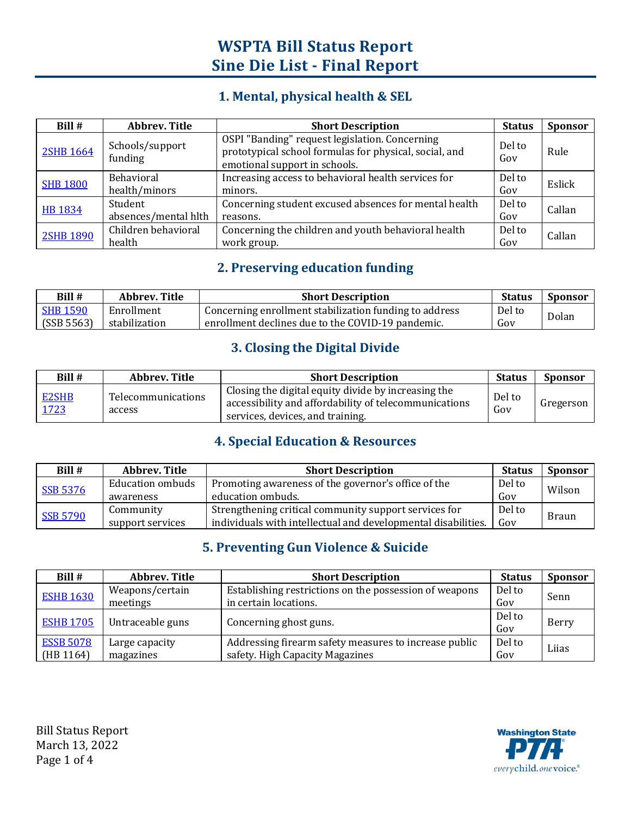### **1. Mental, physical health & SEL**

| Bill #           | <b>Abbrev. Title</b>               | <b>Short Description</b>                                                                                                                  | <b>Status</b> | <b>Sponsor</b> |
|------------------|------------------------------------|-------------------------------------------------------------------------------------------------------------------------------------------|---------------|----------------|
| <b>2SHB 1664</b> | Schools/support<br>funding         | OSPI "Banding" request legislation. Concerning<br>prototypical school formulas for physical, social, and<br>emotional support in schools. | Del to<br>Gov | Rule           |
| <b>SHB 1800</b>  | <b>Behavioral</b><br>health/minors | Increasing access to behavioral health services for<br>minors.                                                                            | Del to<br>Gov | Eslick         |
| <b>HB 1834</b>   | Student<br>absences/mental hlth    | Concerning student excused absences for mental health<br>reasons.                                                                         | Del to<br>Gov | Callan         |
| <b>2SHB 1890</b> | Children behavioral<br>health      | Concerning the children and youth behavioral health<br>work group.                                                                        | Del to<br>Gov | Callan         |

#### **2. Preserving education funding**

| Bill#           | Abbrev. Title | <b>Short Description</b>                               | <b>Status</b> | <b>Sponsor</b> |
|-----------------|---------------|--------------------------------------------------------|---------------|----------------|
| <b>SHB 1590</b> | Enrollment    | Concerning enrollment stabilization funding to address | Del to        | Dolan          |
| (SSB 5563)      | stabilization | enrollment declines due to the COVID-19 pandemic.      | Gov           |                |

### **3. Closing the Digital Divide**

| Bill #        | Abbrey. Title                       | <b>Short Description</b>                                                                                                                         | <b>Status</b> | <b>Sponsor</b> |
|---------------|-------------------------------------|--------------------------------------------------------------------------------------------------------------------------------------------------|---------------|----------------|
| E2SHB<br>1723 | <b>Telecommunications</b><br>access | Closing the digital equity divide by increasing the<br>accessibility and affordability of telecommunications<br>services, devices, and training. | Del to<br>Gov | Gregerson      |

#### **4. Special Education & Resources**

| Bill #          | <b>Abbrev. Title</b>    | <b>Short Description</b>                                      | <b>Status</b> | <b>Sponsor</b> |
|-----------------|-------------------------|---------------------------------------------------------------|---------------|----------------|
| <b>SSB 5376</b> | <b>Education ombuds</b> | Promoting awareness of the governor's office of the           | Del to        | Wilson         |
|                 | awareness               | education ombuds.                                             | Gov           |                |
| <b>SSB 5790</b> | Community               | Strengthening critical community support services for         | Del to        | <b>Braun</b>   |
|                 | support services        | individuals with intellectual and developmental disabilities. | Gov           |                |

#### **5. Preventing Gun Violence & Suicide**

| Bill #           | Abbrey. Title    | <b>Short Description</b>                               | <b>Status</b> | <b>Sponsor</b> |
|------------------|------------------|--------------------------------------------------------|---------------|----------------|
| <b>ESHB 1630</b> | Weapons/certain  | Establishing restrictions on the possession of weapons | Del to        | Senn           |
|                  | meetings         | in certain locations.                                  | Gov           |                |
|                  |                  | Concerning ghost guns.                                 | Del to        |                |
| <b>ESHB 1705</b> | Untraceable guns |                                                        | Gov           | Berry          |
| <b>ESSB 5078</b> | Large capacity   | Addressing firearm safety measures to increase public  | Del to        | Lijas          |
| (HB 1164)        | magazines        | safety. High Capacity Magazines                        | Gov           |                |

Bill Status Report March 13, 2022 Page 1 of 4

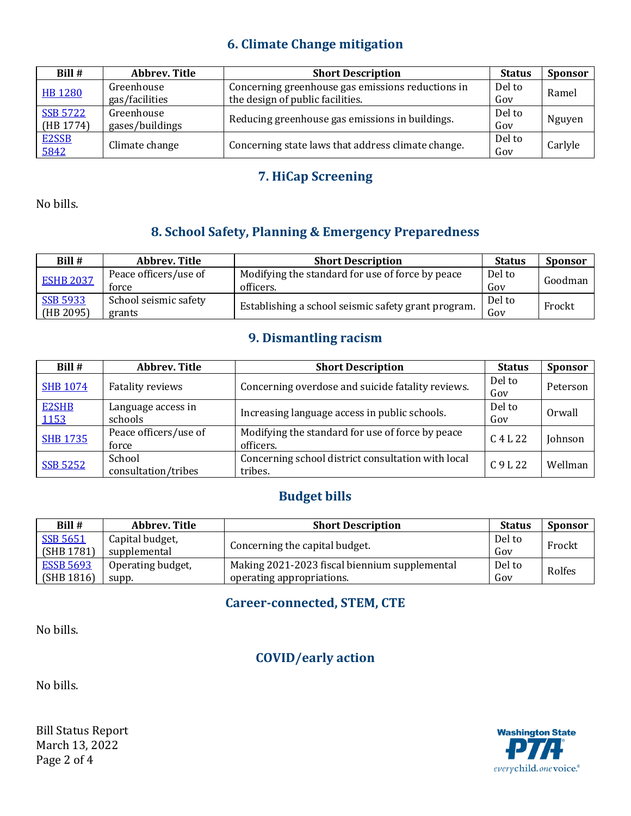### **6. Climate Change mitigation**

| Bill #          | <b>Abbrev. Title</b> | <b>Short Description</b>                           | <b>Status</b> | <b>Sponsor</b> |
|-----------------|----------------------|----------------------------------------------------|---------------|----------------|
| <b>HB 1280</b>  | Greenhouse           | Concerning greenhouse gas emissions reductions in  | Del to        | Ramel          |
|                 | gas/facilities       | the design of public facilities.                   | Gov           |                |
| <b>SSB 5722</b> | Greenhouse           |                                                    | Del to        |                |
| (HB 1774)       | gases/buildings      | Reducing greenhouse gas emissions in buildings.    | Gov           | Nguyen         |
| E2SSB           |                      | Concerning state laws that address climate change. | Del to        |                |
| 5842            | Climate change       |                                                    | Gov           | Carlyle        |

### **7. HiCap Screening**

No bills.

# **8. School Safety, Planning & Emergency Preparedness**

| Bill #           | <b>Abbrev. Title</b>  | <b>Short Description</b>                            | <b>Status</b> | <b>Sponsor</b> |
|------------------|-----------------------|-----------------------------------------------------|---------------|----------------|
| <b>ESHB 2037</b> | Peace officers/use of | Modifying the standard for use of force by peace    | Del to        | Goodman        |
|                  | force                 | officers.                                           | Gov           |                |
| <b>SSB 5933</b>  | School seismic safety |                                                     | Del to        |                |
| (HB 2095)        | grants                | Establishing a school seismic safety grant program. | Gov           | Frockt         |

## **9. Dismantling racism**

| Bill #                       | Abbrev. Title                  | <b>Short Description</b>                                      | <b>Status</b> | <b>Sponsor</b> |
|------------------------------|--------------------------------|---------------------------------------------------------------|---------------|----------------|
| <b>SHB 1074</b>              | <b>Fatality reviews</b>        | Concerning overdose and suicide fatality reviews.             | Del to<br>Gov | Peterson       |
| <b>E2SHB</b><br><u> 1153</u> | Language access in<br>schools  | Increasing language access in public schools.                 | Del to<br>Gov | Orwall         |
| <b>SHB 1735</b>              | Peace officers/use of<br>force | Modifying the standard for use of force by peace<br>officers. | $C$ 4 L 22    | Johnson        |
| <b>SSB 5252</b>              | School<br>consultation/tribes  | Concerning school district consultation with local<br>tribes. | $C.9$ J. 22   | Wellman        |

# **Budget bills**

| Bill #           | Abbrev. Title     | <b>Short Description</b>                      | <b>Status</b> | <b>Sponsor</b> |
|------------------|-------------------|-----------------------------------------------|---------------|----------------|
| <b>SSB 5651</b>  | Capital budget,   |                                               | Del to        |                |
| (SHB 1781)       | supplemental      | Concerning the capital budget.                | Gov           | Frockt         |
| <b>ESSB 5693</b> | Operating budget, | Making 2021-2023 fiscal biennium supplemental | Del to        | Rolfes         |
| (SHB 1816)       | supp.             | operating appropriations.                     | Gov           |                |

### **Career-connected, STEM, CTE**

No bills.

### **COVID/early action**

No bills.

Bill Status Report March 13, 2022 Page 2 of 4

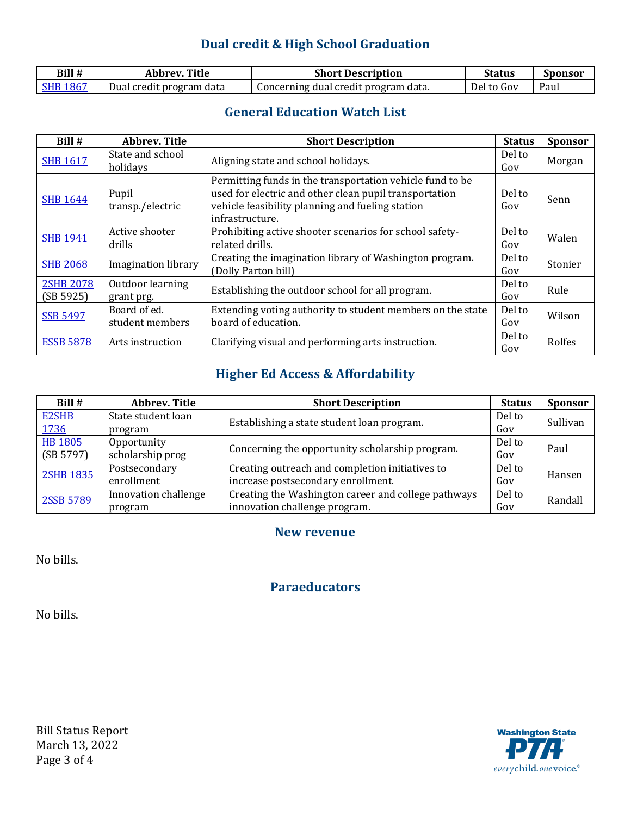## **Dual credit & High School Graduation**

| Bill # | Title<br>Abbrev          | <b>Short Description</b>             | <b>Status</b> | <b>Sponsor</b> |
|--------|--------------------------|--------------------------------------|---------------|----------------|
|        | Dual credit program data | Concerning dual credit program data. | Del<br>to Gov | Paul           |

### **General Education Watch List**

| Bill #                        | <b>Abbrey</b> , Title           | <b>Short Description</b>                                                                                                                                                                   | <b>Status</b> | <b>Sponsor</b> |
|-------------------------------|---------------------------------|--------------------------------------------------------------------------------------------------------------------------------------------------------------------------------------------|---------------|----------------|
| <b>SHB 1617</b>               | State and school<br>holidays    | Aligning state and school holidays.                                                                                                                                                        | Del to<br>Gov | Morgan         |
| <b>SHB 1644</b>               | Pupil<br>transp./electric       | Permitting funds in the transportation vehicle fund to be<br>used for electric and other clean pupil transportation<br>vehicle feasibility planning and fueling station<br>infrastructure. | Del to<br>Gov | Senn           |
| <b>SHB 1941</b>               | Active shooter<br>drills        | Prohibiting active shooter scenarios for school safety-<br>related drills.                                                                                                                 | Del to<br>Gov | Walen          |
| <b>SHB 2068</b>               | <b>Imagination library</b>      | Creating the imagination library of Washington program.<br>(Dolly Parton bill)                                                                                                             | Del to<br>Gov | Stonier        |
| <b>2SHB 2078</b><br>(SB 5925) | Outdoor learning<br>grant prg.  | Establishing the outdoor school for all program.                                                                                                                                           | Del to<br>Gov | Rule           |
| <b>SSB 5497</b>               | Board of ed.<br>student members | Extending voting authority to student members on the state<br>board of education.                                                                                                          | Del to<br>Gov | Wilson         |
| <b>ESSB 5878</b>              | Arts instruction                | Clarifying visual and performing arts instruction.                                                                                                                                         | Del to<br>Gov | Rolfes         |

## **Higher Ed Access & Affordability**

| Bill #           | <b>Abbrev. Title</b> | <b>Short Description</b>                            | <b>Status</b> | <b>Sponsor</b> |
|------------------|----------------------|-----------------------------------------------------|---------------|----------------|
| <b>E2SHB</b>     | State student loan   | Establishing a state student loan program.          | Del to        | Sullivan       |
| 1736             | program              |                                                     | Gov           |                |
| <b>HB 1805</b>   | Opportunity          | Concerning the opportunity scholarship program.     | Del to        | Paul           |
| (SB 5797)        | scholarship prog     |                                                     | Gov           |                |
| <b>2SHB 1835</b> | Postsecondary        | Creating outreach and completion initiatives to     | Del to        | Hansen         |
|                  | enrollment           | increase postsecondary enrollment.                  | Gov           |                |
| 2SSB 5789        | Innovation challenge | Creating the Washington career and college pathways | Del to        | Randall        |
|                  | program              | innovation challenge program.                       | Gov           |                |

#### **New revenue**

No bills.

**Paraeducators**

No bills.

Bill Status Report March 13, 2022 Page 3 of 4